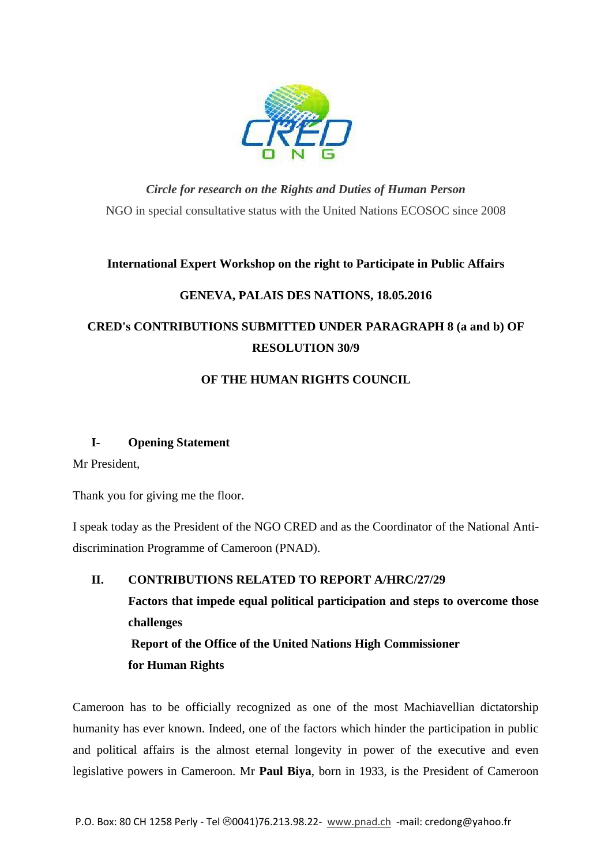

*Circle for research on the Rights and Duties of Human Person* NGO in special consultative status with the United Nations ECOSOC since 2008

## **International Expert Workshop on the right to Participate in Public Affairs**

# **GENEVA, PALAIS DES NATIONS, 18.05.2016**

# **CRED's CONTRIBUTIONS SUBMITTED UNDER PARAGRAPH 8 (a and b) OF RESOLUTION 30/9**

# **OF THE HUMAN RIGHTS COUNCIL**

## **I- Opening Statement**

Mr President,

Thank you for giving me the floor.

I speak today as the President of the NGO CRED and as the Coordinator of the National Antidiscrimination Programme of Cameroon (PNAD).

**II. CONTRIBUTIONS RELATED TO REPORT A/HRC/27/29 Factors that impede equal political participation and steps to overcome those challenges Report of the Office of the United Nations High Commissioner for Human Rights**

Cameroon has to be officially recognized as one of the most Machiavellian dictatorship humanity has ever known. Indeed, one of the factors which hinder the participation in public and political affairs is the almost eternal longevity in power of the executive and even legislative powers in Cameroon. Mr **Paul Biya**, born in 1933, is the President of Cameroon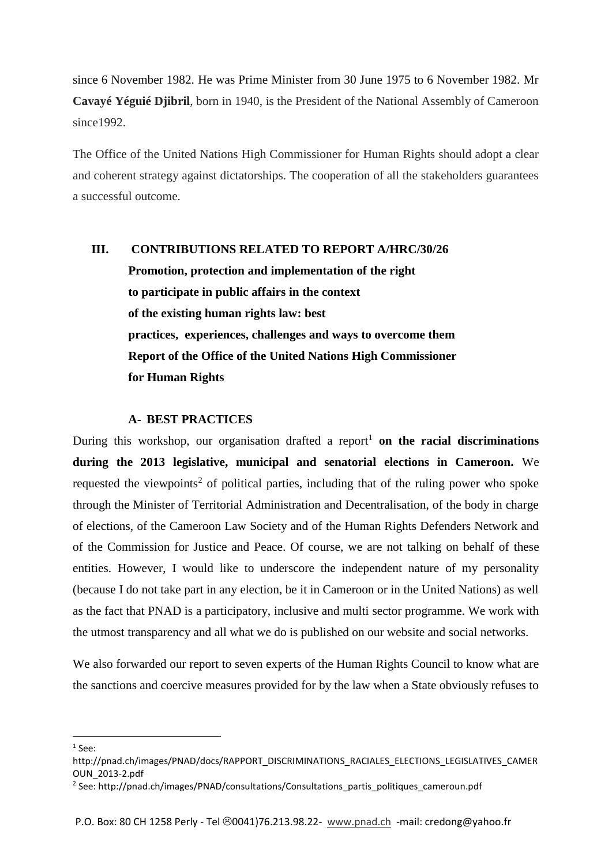since 6 November 1982. He was Prime Minister from 30 June 1975 to 6 November 1982. Mr **Cavayé Yéguié Djibril**, born in 1940, is the President of the National Assembly of Cameroon since<sub>1992</sub>

The Office of the United Nations High Commissioner for Human Rights should adopt a clear and coherent strategy against dictatorships. The cooperation of all the stakeholders guarantees a successful outcome.

# **III. CONTRIBUTIONS RELATED TO REPORT A/HRC/30/26**

**Promotion, protection and implementation of the right to participate in public affairs in the context of the existing human rights law: best practices, experiences, challenges and ways to overcome them Report of the Office of the United Nations High Commissioner for Human Rights** 

#### **A- BEST PRACTICES**

During this workshop, our organisation drafted a report<sup>1</sup> on the racial discriminations **during the 2013 legislative, municipal and senatorial elections in Cameroon.** We requested the viewpoints<sup>2</sup> of political parties, including that of the ruling power who spoke through the Minister of Territorial Administration and Decentralisation, of the body in charge of elections, of the Cameroon Law Society and of the Human Rights Defenders Network and of the Commission for Justice and Peace. Of course, we are not talking on behalf of these entities. However, I would like to underscore the independent nature of my personality (because I do not take part in any election, be it in Cameroon or in the United Nations) as well as the fact that PNAD is a participatory, inclusive and multi sector programme. We work with the utmost transparency and all what we do is published on our website and social networks.

We also forwarded our report to seven experts of the Human Rights Council to know what are the sanctions and coercive measures provided for by the law when a State obviously refuses to

1

 $1$  See:

http://pnad.ch/images/PNAD/docs/RAPPORT\_DISCRIMINATIONS\_RACIALES\_ELECTIONS\_LEGISLATIVES\_CAMER OUN\_2013-2.pdf

<sup>&</sup>lt;sup>2</sup> See: http://pnad.ch/images/PNAD/consultations/Consultations\_partis\_politiques\_cameroun.pdf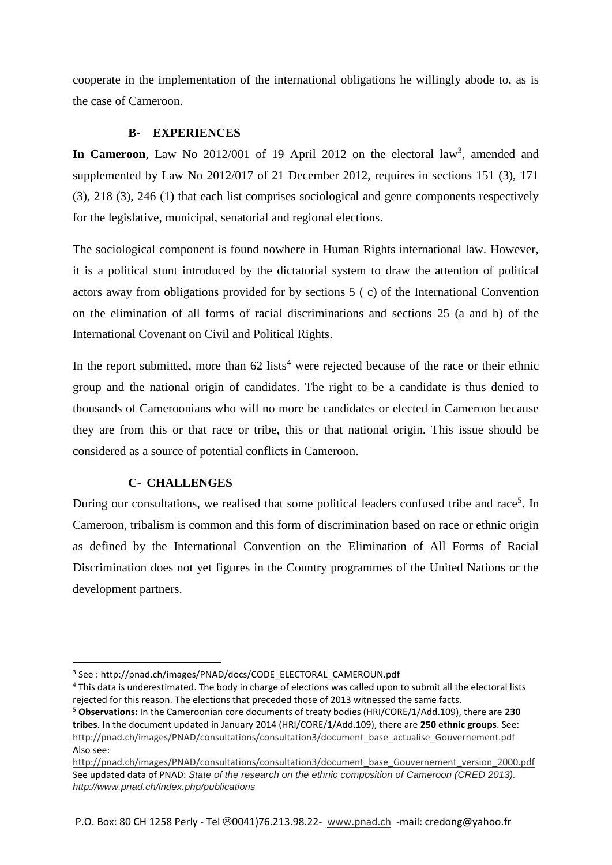cooperate in the implementation of the international obligations he willingly abode to, as is the case of Cameroon.

### **B- EXPERIENCES**

In Cameroon, Law No 2012/001 of 19 April 2012 on the electoral law<sup>3</sup>, amended and supplemented by Law No 2012/017 of 21 December 2012, requires in sections 151 (3), 171 (3), 218 (3), 246 (1) that each list comprises sociological and genre components respectively for the legislative, municipal, senatorial and regional elections.

The sociological component is found nowhere in Human Rights international law. However, it is a political stunt introduced by the dictatorial system to draw the attention of political actors away from obligations provided for by sections 5 ( c) of the International Convention on the elimination of all forms of racial discriminations and sections 25 (a and b) of the International Covenant on Civil and Political Rights.

In the report submitted, more than  $62$  lists<sup>4</sup> were rejected because of the race or their ethnic group and the national origin of candidates. The right to be a candidate is thus denied to thousands of Cameroonians who will no more be candidates or elected in Cameroon because they are from this or that race or tribe, this or that national origin. This issue should be considered as a source of potential conflicts in Cameroon.

## **C- CHALLENGES**

1

During our consultations, we realised that some political leaders confused tribe and race<sup>5</sup>. In Cameroon, tribalism is common and this form of discrimination based on race or ethnic origin as defined by the International Convention on the Elimination of All Forms of Racial Discrimination does not yet figures in the Country programmes of the United Nations or the development partners.

<sup>3</sup> See : http://pnad.ch/images/PNAD/docs/CODE\_ELECTORAL\_CAMEROUN.pdf

<sup>4</sup> This data is underestimated. The body in charge of elections was called upon to submit all the electoral lists rejected for this reason. The elections that preceded those of 2013 witnessed the same facts.

<sup>5</sup> **Observations:** In the Cameroonian core documents of treaty bodies (HRI/CORE/1/Add.109), there are **230 tribes**. In the document updated in January 2014 (HRI/CORE/1/Add.109), there are **250 ethnic groups**. See: [http://pnad.ch/images/PNAD/consultations/consultation3/document\\_base\\_actualise\\_Gouvernement.pdf](http://pnad.ch/images/PNAD/consultations/consultation3/document_base_actualise_Gouvernement.pdf) Also see:

[http://pnad.ch/images/PNAD/consultations/consultation3/document\\_base\\_Gouvernement\\_version\\_2000.pdf](http://pnad.ch/images/PNAD/consultations/consultation3/document_base_Gouvernement_version_2000.pdf) See updated data of PNAD: *State of the research on the ethnic composition of Cameroon (CRED 2013). http://www.pnad.ch/index.php/publications*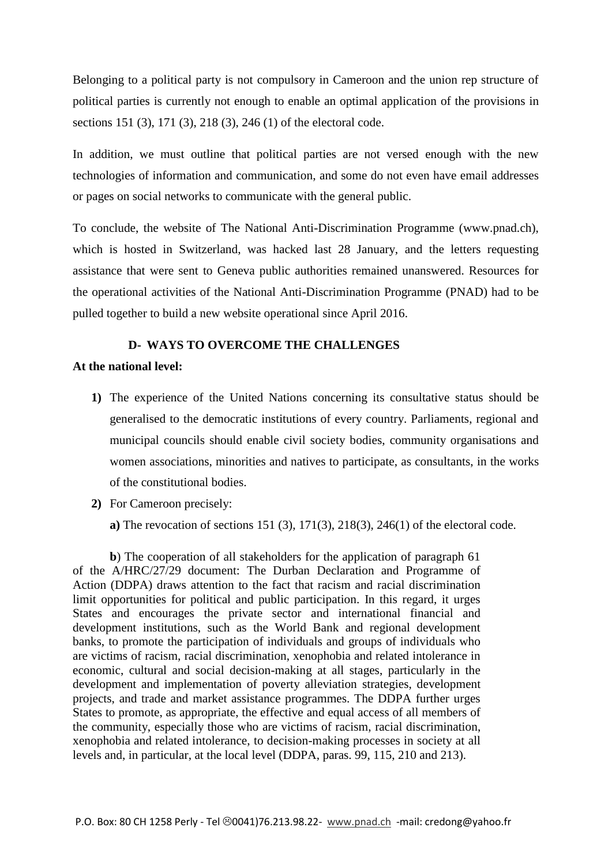Belonging to a political party is not compulsory in Cameroon and the union rep structure of political parties is currently not enough to enable an optimal application of the provisions in sections 151 (3), 171 (3), 218 (3), 246 (1) of the electoral code.

In addition, we must outline that political parties are not versed enough with the new technologies of information and communication, and some do not even have email addresses or pages on social networks to communicate with the general public.

To conclude, the website of The National Anti-Discrimination Programme (www.pnad.ch), which is hosted in Switzerland, was hacked last 28 January, and the letters requesting assistance that were sent to Geneva public authorities remained unanswered. Resources for the operational activities of the National Anti-Discrimination Programme (PNAD) had to be pulled together to build a new website operational since April 2016.

#### **D- WAYS TO OVERCOME THE CHALLENGES**

#### **At the national level:**

- **1)** The experience of the United Nations concerning its consultative status should be generalised to the democratic institutions of every country. Parliaments, regional and municipal councils should enable civil society bodies, community organisations and women associations, minorities and natives to participate, as consultants, in the works of the constitutional bodies.
- **2)** For Cameroon precisely:

**a)** The revocation of sections 151 (3), 171(3), 218(3), 246(1) of the electoral code.

**b**) The cooperation of all stakeholders for the application of paragraph 61 of the A/HRC/27/29 document: The Durban Declaration and Programme of Action (DDPA) draws attention to the fact that racism and racial discrimination limit opportunities for political and public participation. In this regard, it urges States and encourages the private sector and international financial and development institutions, such as the World Bank and regional development banks, to promote the participation of individuals and groups of individuals who are victims of racism, racial discrimination, xenophobia and related intolerance in economic, cultural and social decision-making at all stages, particularly in the development and implementation of poverty alleviation strategies, development projects, and trade and market assistance programmes. The DDPA further urges States to promote, as appropriate, the effective and equal access of all members of the community, especially those who are victims of racism, racial discrimination, xenophobia and related intolerance, to decision-making processes in society at all levels and, in particular, at the local level (DDPA, paras. 99, 115, 210 and 213).